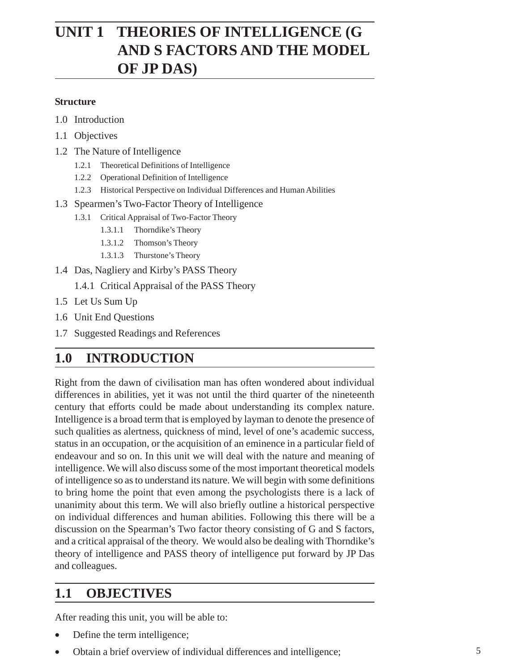# **UNIT 1 THEORIES OF INTELLIGENCE (G AND S FACTORS AND THE MODEL OF JP DAS)**

#### **Structure**

- 1.0 Introduction
- 1.1 Objectives
- 1.2 The Nature of Intelligence
	- 1.2.1 Theoretical Definitions of Intelligence
	- 1.2.2 Operational Definition of Intelligence
	- 1.2.3 Historical Perspective on Individual Differences and Human Abilities
- 1.3 Spearmen's Two-Factor Theory of Intelligence
	- 1.3.1 Critical Appraisal of Two-Factor Theory
		- 1.3.1.1 Thorndike's Theory
		- 1.3.1.2 Thomson's Theory
		- 1.3.1.3 Thurstone's Theory
- 1.4 Das, Nagliery and Kirby's PASS Theory
	- 1.4.1 Critical Appraisal of the PASS Theory
- 1.5 Let Us Sum Up
- 1.6 Unit End Questions
- 1.7 Suggested Readings and References

## **1.0 INTRODUCTION**

Right from the dawn of civilisation man has often wondered about individual differences in abilities, yet it was not until the third quarter of the nineteenth century that efforts could be made about understanding its complex nature. Intelligence is a broad term that is employed by layman to denote the presence of such qualities as alertness, quickness of mind, level of one's academic success, status in an occupation, or the acquisition of an eminence in a particular field of endeavour and so on. In this unit we will deal with the nature and meaning of intelligence. We will also discuss some of the most important theoretical models of intelligence so as to understand its nature. We will begin with some definitions to bring home the point that even among the psychologists there is a lack of unanimity about this term. We will also briefly outline a historical perspective on individual differences and human abilities. Following this there will be a discussion on the Spearman's Two factor theory consisting of G and S factors, and a critical appraisal of the theory. We would also be dealing with Thorndike's theory of intelligence and PASS theory of intelligence put forward by JP Das and colleagues.

## **1.1 OBJECTIVES**

After reading this unit, you will be able to:

- Define the term intelligence;
- Obtain a brief overview of individual differences and intelligence;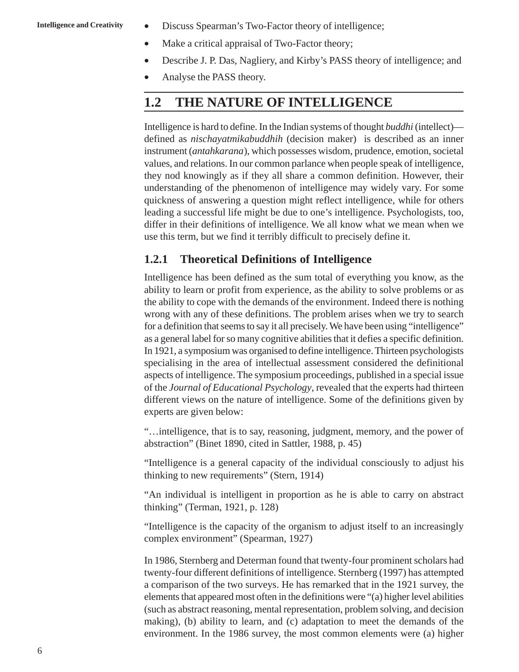- **Intelligence and Creativity** Discuss Spearman's Two-Factor theory of intelligence;
	- Make a critical appraisal of Two-Factor theory;
	- Describe J. P. Das, Nagliery, and Kirby's PASS theory of intelligence; and
	- Analyse the PASS theory.

#### **1.2 THE NATURE OF INTELLIGENCE**

Intelligence is hard to define. In the Indian systems of thought *buddhi* (intellect) defined as *nischayatmikabuddhih* (decision maker) is described as an inner instrument (*antahkarana*), which possesses wisdom, prudence, emotion, societal values, and relations. In our common parlance when people speak of intelligence, they nod knowingly as if they all share a common definition. However, their understanding of the phenomenon of intelligence may widely vary. For some quickness of answering a question might reflect intelligence, while for others leading a successful life might be due to one's intelligence. Psychologists, too, differ in their definitions of intelligence. We all know what we mean when we use this term, but we find it terribly difficult to precisely define it.

#### **1.2.1 Theoretical Definitions of Intelligence**

Intelligence has been defined as the sum total of everything you know, as the ability to learn or profit from experience, as the ability to solve problems or as the ability to cope with the demands of the environment. Indeed there is nothing wrong with any of these definitions. The problem arises when we try to search for a definition that seems to say it all precisely. We have been using "intelligence" as a general label for so many cognitive abilities that it defies a specific definition. In 1921, a symposium was organised to define intelligence. Thirteen psychologists specialising in the area of intellectual assessment considered the definitional aspects of intelligence. The symposium proceedings, published in a special issue of the *Journal of Educational Psychology*, revealed that the experts had thirteen different views on the nature of intelligence. Some of the definitions given by experts are given below:

"…intelligence, that is to say, reasoning, judgment, memory, and the power of abstraction" (Binet 1890, cited in Sattler, 1988, p. 45)

"Intelligence is a general capacity of the individual consciously to adjust his thinking to new requirements" (Stern, 1914)

"An individual is intelligent in proportion as he is able to carry on abstract thinking" (Terman, 1921, p. 128)

"Intelligence is the capacity of the organism to adjust itself to an increasingly complex environment" (Spearman, 1927)

In 1986, Sternberg and Determan found that twenty-four prominent scholars had twenty-four different definitions of intelligence. Sternberg (1997) has attempted a comparison of the two surveys. He has remarked that in the 1921 survey, the elements that appeared most often in the definitions were "(a) higher level abilities (such as abstract reasoning, mental representation, problem solving, and decision making), (b) ability to learn, and (c) adaptation to meet the demands of the environment. In the 1986 survey, the most common elements were (a) higher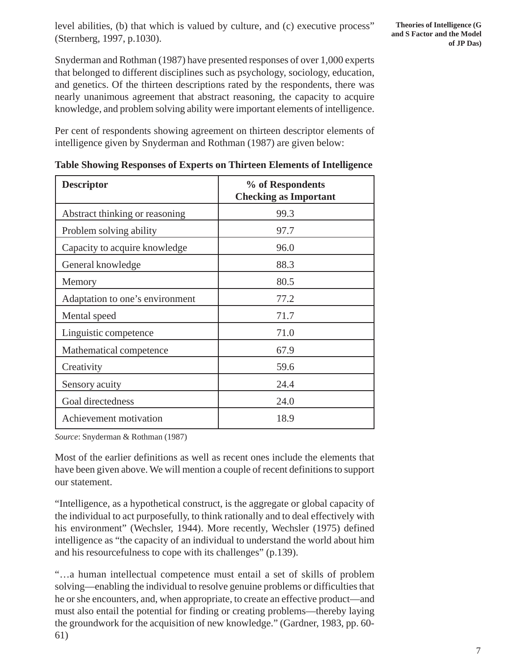level abilities, (b) that which is valued by culture, and (c) executive process" (Sternberg, 1997, p.1030).

Snyderman and Rothman (1987) have presented responses of over 1,000 experts that belonged to different disciplines such as psychology, sociology, education, and genetics. Of the thirteen descriptions rated by the respondents, there was nearly unanimous agreement that abstract reasoning, the capacity to acquire knowledge, and problem solving ability were important elements of intelligence.

Per cent of respondents showing agreement on thirteen descriptor elements of intelligence given by Snyderman and Rothman (1987) are given below:

| <b>Descriptor</b>               | % of Respondents<br><b>Checking as Important</b> |
|---------------------------------|--------------------------------------------------|
| Abstract thinking or reasoning  | 99.3                                             |
| Problem solving ability         | 97.7                                             |
| Capacity to acquire knowledge   | 96.0                                             |
| General knowledge               | 88.3                                             |
| Memory                          | 80.5                                             |
| Adaptation to one's environment | 77.2                                             |
| Mental speed                    | 71.7                                             |
| Linguistic competence           | 71.0                                             |
| Mathematical competence         | 67.9                                             |
| Creativity                      | 59.6                                             |
| Sensory acuity                  | 24.4                                             |
| Goal directedness               | 24.0                                             |
| Achievement motivation          | 18.9                                             |

|  |  |  | Table Showing Responses of Experts on Thirteen Elements of Intelligence |
|--|--|--|-------------------------------------------------------------------------|
|  |  |  |                                                                         |

*Source*: Snyderman & Rothman (1987)

Most of the earlier definitions as well as recent ones include the elements that have been given above. We will mention a couple of recent definitions to support our statement.

"Intelligence, as a hypothetical construct, is the aggregate or global capacity of the individual to act purposefully, to think rationally and to deal effectively with his environment" (Wechsler, 1944). More recently, Wechsler (1975) defined intelligence as "the capacity of an individual to understand the world about him and his resourcefulness to cope with its challenges" (p.139).

"…a human intellectual competence must entail a set of skills of problem solving—enabling the individual to resolve genuine problems or difficulties that he or she encounters, and, when appropriate, to create an effective product—and must also entail the potential for finding or creating problems—thereby laying the groundwork for the acquisition of new knowledge." (Gardner, 1983, pp. 60- 61)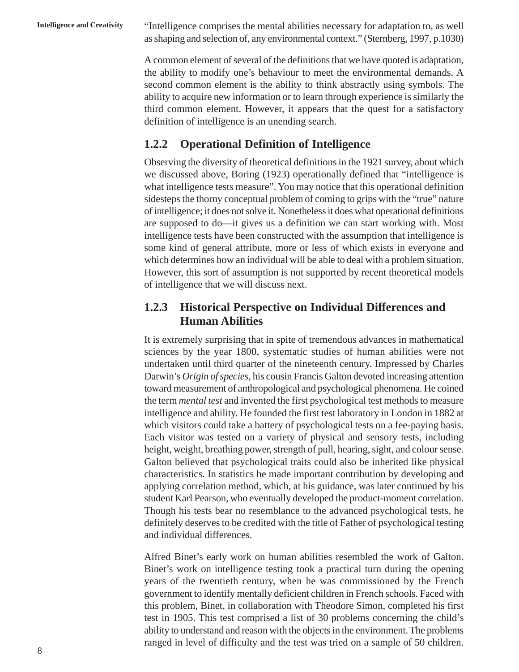**Intelligence and Creativity** "Intelligence comprises the mental abilities necessary for adaptation to, as well as shaping and selection of, any environmental context." (Sternberg, 1997, p.1030)

> A common element of several of the definitions that we have quoted is adaptation, the ability to modify one's behaviour to meet the environmental demands. A second common element is the ability to think abstractly using symbols. The ability to acquire new information or to learn through experience is similarly the third common element. However, it appears that the quest for a satisfactory definition of intelligence is an unending search.

#### **1.2.2 Operational Definition of Intelligence**

Observing the diversity of theoretical definitions in the 1921 survey, about which we discussed above, Boring (1923) operationally defined that "intelligence is what intelligence tests measure". You may notice that this operational definition sidesteps the thorny conceptual problem of coming to grips with the "true" nature of intelligence; it does not solve it. Nonetheless it does what operational definitions are supposed to do—it gives us a definition we can start working with. Most intelligence tests have been constructed with the assumption that intelligence is some kind of general attribute, more or less of which exists in everyone and which determines how an individual will be able to deal with a problem situation. However, this sort of assumption is not supported by recent theoretical models of intelligence that we will discuss next.

#### **1.2.3 Historical Perspective on Individual Differences and Human Abilities**

It is extremely surprising that in spite of tremendous advances in mathematical sciences by the year 1800, systematic studies of human abilities were not undertaken until third quarter of the nineteenth century. Impressed by Charles Darwin's *Origin of species*, his cousin Francis Galton devoted increasing attention toward measurement of anthropological and psychological phenomena. He coined the term *mental test* and invented the first psychological test methods to measure intelligence and ability. He founded the first test laboratory in London in 1882 at which visitors could take a battery of psychological tests on a fee-paying basis. Each visitor was tested on a variety of physical and sensory tests, including height, weight, breathing power, strength of pull, hearing, sight, and colour sense. Galton believed that psychological traits could also be inherited like physical characteristics. In statistics he made important contribution by developing and applying correlation method, which, at his guidance, was later continued by his student Karl Pearson, who eventually developed the product-moment correlation. Though his tests bear no resemblance to the advanced psychological tests, he definitely deserves to be credited with the title of Father of psychological testing and individual differences.

Alfred Binet's early work on human abilities resembled the work of Galton. Binet's work on intelligence testing took a practical turn during the opening years of the twentieth century, when he was commissioned by the French government to identify mentally deficient children in French schools. Faced with this problem, Binet, in collaboration with Theodore Simon, completed his first test in 1905. This test comprised a list of 30 problems concerning the child's ability to understand and reason with the objects in the environment. The problems ranged in level of difficulty and the test was tried on a sample of 50 children.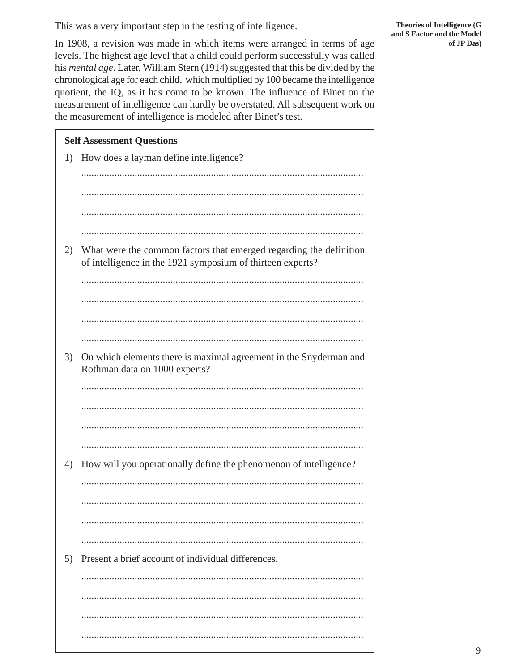This was a very important step in the testing of intelligence.

In 1908, a revision was made in which items were arranged in terms of age levels. The highest age level that a child could perform successfully was called his mental age. Later, William Stern (1914) suggested that this be divided by the chronological age for each child, which multiplied by 100 became the intelligence quotient, the IQ, as it has come to be known. The influence of Binet on the measurement of intelligence can hardly be overstated. All subsequent work on the measurement of intelligence is modeled after Binet's test.

|    | <b>Self Assessment Questions</b>                                                                                                 |
|----|----------------------------------------------------------------------------------------------------------------------------------|
| 1) | How does a layman define intelligence?                                                                                           |
|    |                                                                                                                                  |
|    |                                                                                                                                  |
|    |                                                                                                                                  |
|    |                                                                                                                                  |
| 2) | What were the common factors that emerged regarding the definition<br>of intelligence in the 1921 symposium of thirteen experts? |
|    |                                                                                                                                  |
|    |                                                                                                                                  |
|    |                                                                                                                                  |
|    |                                                                                                                                  |
| 3) | On which elements there is maximal agreement in the Snyderman and<br>Rothman data on 1000 experts?                               |
|    |                                                                                                                                  |
|    |                                                                                                                                  |
|    |                                                                                                                                  |
|    |                                                                                                                                  |
| 4) | How will you operationally define the phenomenon of intelligence?                                                                |
|    |                                                                                                                                  |
|    |                                                                                                                                  |
|    |                                                                                                                                  |
|    |                                                                                                                                  |
| 5) | Present a brief account of individual differences.                                                                               |
|    |                                                                                                                                  |
|    |                                                                                                                                  |
|    |                                                                                                                                  |
|    |                                                                                                                                  |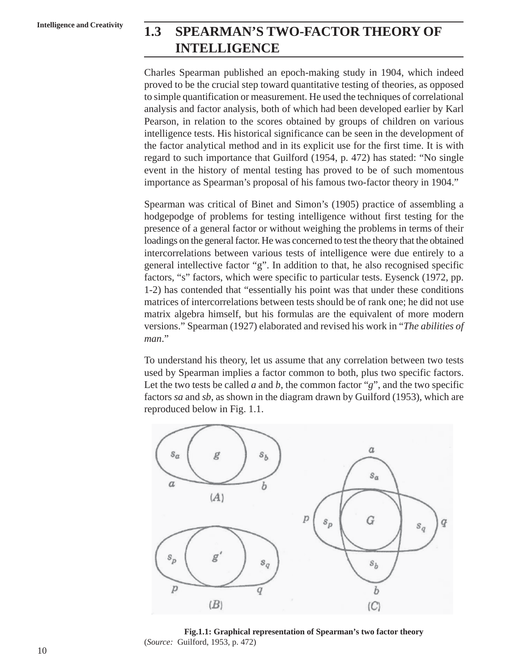# **Intelligence and Creativity 1.3 SPEARMAN'S TWO-FACTOR THEORY OF INTELLIGENCE**

Charles Spearman published an epoch-making study in 1904, which indeed proved to be the crucial step toward quantitative testing of theories, as opposed to simple quantification or measurement. He used the techniques of correlational analysis and factor analysis, both of which had been developed earlier by Karl Pearson, in relation to the scores obtained by groups of children on various intelligence tests. His historical significance can be seen in the development of the factor analytical method and in its explicit use for the first time. It is with regard to such importance that Guilford (1954, p. 472) has stated: "No single event in the history of mental testing has proved to be of such momentous importance as Spearman's proposal of his famous two-factor theory in 1904."

Spearman was critical of Binet and Simon's (1905) practice of assembling a hodgepodge of problems for testing intelligence without first testing for the presence of a general factor or without weighing the problems in terms of their loadings on the general factor. He was concerned to test the theory that the obtained intercorrelations between various tests of intelligence were due entirely to a general intellective factor "g". In addition to that, he also recognised specific factors, "s" factors, which were specific to particular tests. Eysenck (1972, pp. 1-2) has contended that "essentially his point was that under these conditions matrices of intercorrelations between tests should be of rank one; he did not use matrix algebra himself, but his formulas are the equivalent of more modern versions." Spearman (1927) elaborated and revised his work in "*The abilities of man*."

To understand his theory, let us assume that any correlation between two tests used by Spearman implies a factor common to both, plus two specific factors. Let the two tests be called  $a$  and  $b$ , the common factor " $g$ ", and the two specific factors *sa* and *sb*, as shown in the diagram drawn by Guilford (1953), which are reproduced below in Fig. 1.1.



**Fig.1.1: Graphical representation of Spearman's two factor theory** (*Source:* Guilford, 1953, p. 472)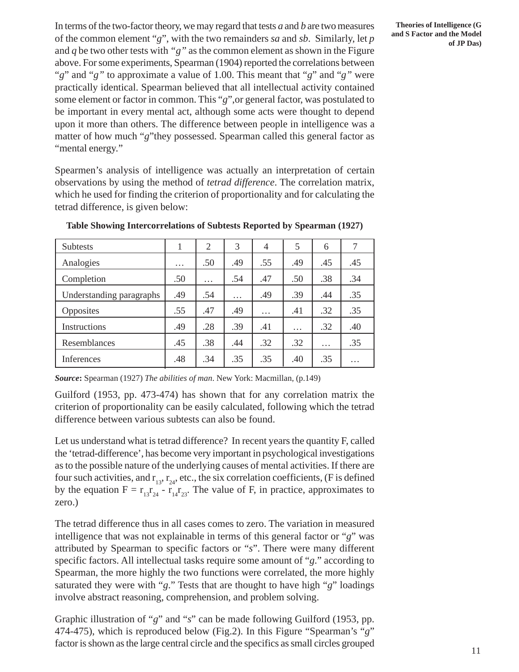In terms of the two-factor theory, we may regard that tests *a* and *b* are two measures of the common element "*g*", with the two remainders *sa* and *sb*. Similarly, let *p* and  $q$  be two other tests with " $q$ " as the common element as shown in the Figure above. For some experiments, Spearman (1904) reported the correlations between "*g*" and "*g"* to approximate a value of 1.00. This meant that "*g*" and "*g"* were practically identical. Spearman believed that all intellectual activity contained some element or factor in common. This "*g*",or general factor, was postulated to be important in every mental act, although some acts were thought to depend upon it more than others. The difference between people in intelligence was a matter of how much "*g*"they possessed. Spearman called this general factor as "mental energy."

Spearmen's analysis of intelligence was actually an interpretation of certain observations by using the method of *tetrad difference*. The correlation matrix, which he used for finding the criterion of proportionality and for calculating the tetrad difference, is given below:

| <b>Subtests</b>          |          | 2        | 3        | 4        | 5        | 6        |          |
|--------------------------|----------|----------|----------|----------|----------|----------|----------|
| Analogies                | $\cdots$ | .50      | .49      | .55      | .49      | .45      | .45      |
| Completion               | .50      | $\cdots$ | .54      | .47      | .50      | .38      | .34      |
| Understanding paragraphs | .49      | .54      | $\cdots$ | .49      | .39      | .44      | .35      |
| Opposites                | .55      | .47      | .49      | $\cdots$ | .41      | .32      | .35      |
| Instructions             | .49      | .28      | .39      | .41      | $\cdots$ | .32      | .40      |
| Resemblances             | .45      | .38      | .44      | .32      | .32      | $\cdots$ | .35      |
| Inferences               | .48      | .34      | .35      | .35      | .40      | .35      | $\cdots$ |

**Table Showing Intercorrelations of Subtests Reported by Spearman (1927)**

*Source***:** Spearman (1927) *The abilities of man*. New York: Macmillan, (p.149)

Guilford (1953, pp. 473-474) has shown that for any correlation matrix the criterion of proportionality can be easily calculated, following which the tetrad difference between various subtests can also be found.

Let us understand what is tetrad difference? In recent years the quantity F, called the 'tetrad-difference', has become very important in psychological investigations as to the possible nature of the underlying causes of mental activities. If there are four such activities, and  $r_{13}$ ,  $r_{24}$ , etc., the six correlation coefficients, (F is defined by the equation  $F = r_{13}r_{24}^2 - r_{14}r_{23}$ . The value of F, in practice, approximates to zero.)

The tetrad difference thus in all cases comes to zero. The variation in measured intelligence that was not explainable in terms of this general factor or "*g*" was attributed by Spearman to specific factors or "*s*". There were many different specific factors. All intellectual tasks require some amount of "*g*." according to Spearman, the more highly the two functions were correlated, the more highly saturated they were with "*g*." Tests that are thought to have high "*g*" loadings involve abstract reasoning, comprehension, and problem solving.

Graphic illustration of "*g*" and "*s*" can be made following Guilford (1953, pp. 474-475), which is reproduced below (Fig.2). In this Figure "Spearman's "*g*" factor is shown as the large central circle and the specifics as small circles grouped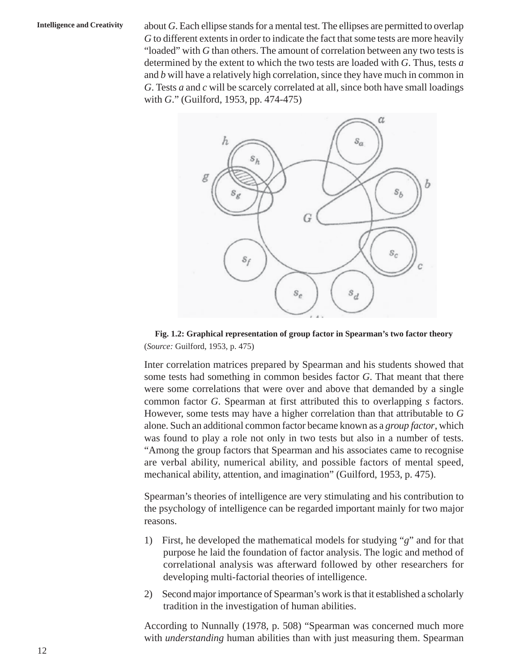**Intelligence and Creativity** about *G*. Each ellipse stands for a mental test. The ellipses are permitted to overlap *G* to different extents in order to indicate the fact that some tests are more heavily "loaded" with *G* than others. The amount of correlation between any two tests is determined by the extent to which the two tests are loaded with *G*. Thus, tests *a* and *b* will have a relatively high correlation, since they have much in common in *G*. Tests *a* and *c* will be scarcely correlated at all, since both have small loadings with *G*." (Guilford, 1953, pp. 474-475)



**Fig. 1.2: Graphical representation of group factor in Spearman's two factor theory** (*Source:* Guilford, 1953, p. 475)

Inter correlation matrices prepared by Spearman and his students showed that some tests had something in common besides factor *G*. That meant that there were some correlations that were over and above that demanded by a single common factor *G*. Spearman at first attributed this to overlapping *s* factors. However, some tests may have a higher correlation than that attributable to *G* alone. Such an additional common factor became known as a *group factor*, which was found to play a role not only in two tests but also in a number of tests. "Among the group factors that Spearman and his associates came to recognise are verbal ability, numerical ability, and possible factors of mental speed, mechanical ability, attention, and imagination" (Guilford, 1953, p. 475).

Spearman's theories of intelligence are very stimulating and his contribution to the psychology of intelligence can be regarded important mainly for two major reasons.

- 1) First, he developed the mathematical models for studying "*g*" and for that purpose he laid the foundation of factor analysis. The logic and method of correlational analysis was afterward followed by other researchers for developing multi-factorial theories of intelligence.
- 2) Second major importance of Spearman's work is that it established a scholarly tradition in the investigation of human abilities.

According to Nunnally (1978, p. 508) "Spearman was concerned much more with *understanding* human abilities than with just measuring them. Spearman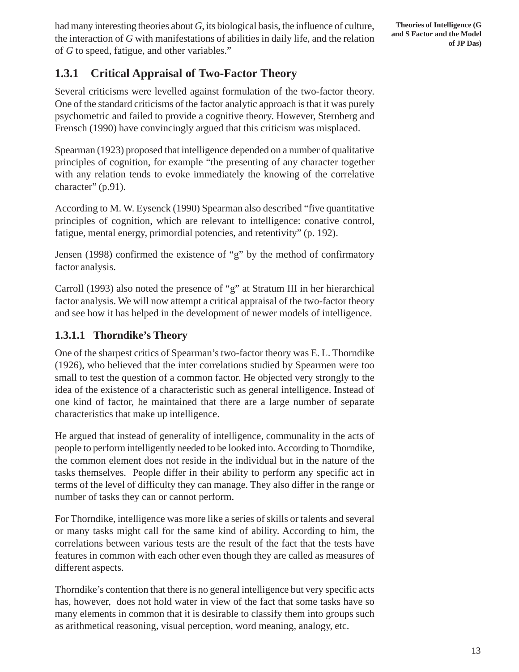had many interesting theories about *G*, its biological basis, the influence of culture, the interaction of *G* with manifestations of abilities in daily life, and the relation of *G* to speed, fatigue, and other variables."

### **1.3.1 Critical Appraisal of Two-Factor Theory**

Several criticisms were levelled against formulation of the two-factor theory. One of the standard criticisms of the factor analytic approach is that it was purely psychometric and failed to provide a cognitive theory. However, Sternberg and Frensch (1990) have convincingly argued that this criticism was misplaced.

Spearman (1923) proposed that intelligence depended on a number of qualitative principles of cognition, for example "the presenting of any character together with any relation tends to evoke immediately the knowing of the correlative character" (p.91).

According to M. W. Eysenck (1990) Spearman also described "five quantitative principles of cognition, which are relevant to intelligence: conative control, fatigue, mental energy, primordial potencies, and retentivity" (p. 192).

Jensen (1998) confirmed the existence of "g" by the method of confirmatory factor analysis.

Carroll (1993) also noted the presence of "g" at Stratum III in her hierarchical factor analysis. We will now attempt a critical appraisal of the two-factor theory and see how it has helped in the development of newer models of intelligence.

#### **1.3.1.1 Thorndike's Theory**

One of the sharpest critics of Spearman's two-factor theory was E. L. Thorndike (1926), who believed that the inter correlations studied by Spearmen were too small to test the question of a common factor. He objected very strongly to the idea of the existence of a characteristic such as general intelligence. Instead of one kind of factor, he maintained that there are a large number of separate characteristics that make up intelligence.

He argued that instead of generality of intelligence, communality in the acts of people to perform intelligently needed to be looked into. According to Thorndike, the common element does not reside in the individual but in the nature of the tasks themselves. People differ in their ability to perform any specific act in terms of the level of difficulty they can manage. They also differ in the range or number of tasks they can or cannot perform.

For Thorndike, intelligence was more like a series of skills or talents and several or many tasks might call for the same kind of ability. According to him, the correlations between various tests are the result of the fact that the tests have features in common with each other even though they are called as measures of different aspects.

Thorndike's contention that there is no general intelligence but very specific acts has, however, does not hold water in view of the fact that some tasks have so many elements in common that it is desirable to classify them into groups such as arithmetical reasoning, visual perception, word meaning, analogy, etc.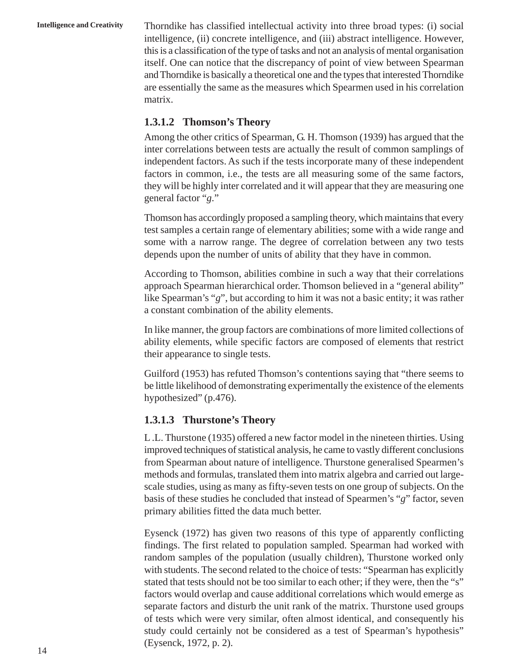**Intelligence and Creativity** Thorndike has classified intellectual activity into three broad types: (i) social intelligence, (ii) concrete intelligence, and (iii) abstract intelligence. However, this is a classification of the type of tasks and not an analysis of mental organisation itself. One can notice that the discrepancy of point of view between Spearman and Thorndike is basically a theoretical one and the types that interested Thorndike are essentially the same as the measures which Spearmen used in his correlation matrix.

#### **1.3.1.2 Thomson's Theory**

Among the other critics of Spearman, G. H. Thomson (1939) has argued that the inter correlations between tests are actually the result of common samplings of independent factors. As such if the tests incorporate many of these independent factors in common, i.e., the tests are all measuring some of the same factors, they will be highly inter correlated and it will appear that they are measuring one general factor "*g*."

Thomson has accordingly proposed a sampling theory, which maintains that every test samples a certain range of elementary abilities; some with a wide range and some with a narrow range. The degree of correlation between any two tests depends upon the number of units of ability that they have in common.

According to Thomson, abilities combine in such a way that their correlations approach Spearman hierarchical order. Thomson believed in a "general ability" like Spearman's "*g*", but according to him it was not a basic entity; it was rather a constant combination of the ability elements.

In like manner, the group factors are combinations of more limited collections of ability elements, while specific factors are composed of elements that restrict their appearance to single tests.

Guilford (1953) has refuted Thomson's contentions saying that "there seems to be little likelihood of demonstrating experimentally the existence of the elements hypothesized" (p.476).

#### **1.3.1.3 Thurstone's Theory**

L .L. Thurstone (1935) offered a new factor model in the nineteen thirties. Using improved techniques of statistical analysis, he came to vastly different conclusions from Spearman about nature of intelligence. Thurstone generalised Spearmen's methods and formulas, translated them into matrix algebra and carried out largescale studies, using as many as fifty-seven tests on one group of subjects. On the basis of these studies he concluded that instead of Spearmen's "*g*" factor, seven primary abilities fitted the data much better.

Eysenck (1972) has given two reasons of this type of apparently conflicting findings. The first related to population sampled. Spearman had worked with random samples of the population (usually children), Thurstone worked only with students. The second related to the choice of tests: "Spearman has explicitly stated that tests should not be too similar to each other; if they were, then the "s" factors would overlap and cause additional correlations which would emerge as separate factors and disturb the unit rank of the matrix. Thurstone used groups of tests which were very similar, often almost identical, and consequently his study could certainly not be considered as a test of Spearman's hypothesis" (Eysenck, 1972, p. 2).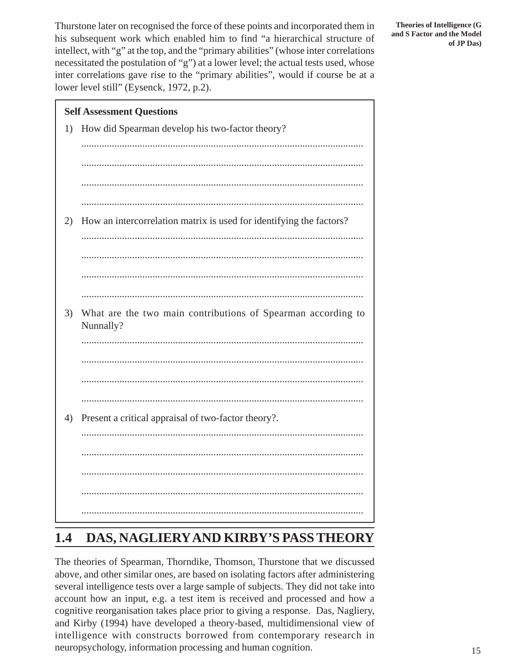Thurstone later on recognised the force of these points and incorporated them in his subsequent work which enabled him to find "a hierarchical structure of intellect, with "g" at the top, and the "primary abilities" (whose inter correlations necessitated the postulation of "g") at a lower level; the actual tests used, whose inter correlations gave rise to the "primary abilities", would if course be at a lower level still" (Eysenck, 1972, p.2).



# **1.4 DAS, NAGLIERY AND KIRBY'S PASS THEORY**

The theories of Spearman, Thorndike, Thomson, Thurstone that we discussed above, and other similar ones, are based on isolating factors after administering several intelligence tests over a large sample of subjects. They did not take into account how an input, e.g. a test item is received and processed and how a cognitive reorganisation takes place prior to giving a response. Das, Nagliery, and Kirby (1994) have developed a theory-based, multidimensional view of intelligence with constructs borrowed from contemporary research in neuropsychology, information processing and human cognition.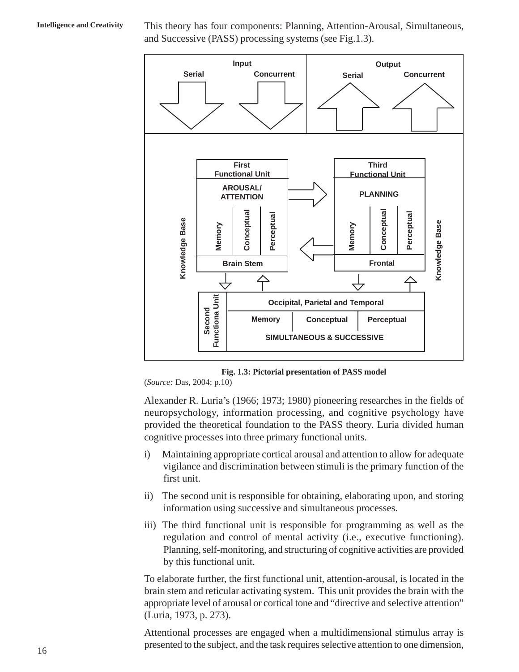**Intelligence and Creativity** This theory has four components: Planning, Attention-Arousal, Simultaneous, and Successive (PASS) processing systems (see Fig.1.3).



**Fig. 1.3: Pictorial presentation of PASS model**

(*Source:* Das, 2004; p.10)

Alexander R. Luria's (1966; 1973; 1980) pioneering researches in the fields of neuropsychology, information processing, and cognitive psychology have provided the theoretical foundation to the PASS theory. Luria divided human cognitive processes into three primary functional units.

- i) Maintaining appropriate cortical arousal and attention to allow for adequate vigilance and discrimination between stimuli is the primary function of the first unit.
- ii) The second unit is responsible for obtaining, elaborating upon, and storing information using successive and simultaneous processes.
- iii) The third functional unit is responsible for programming as well as the regulation and control of mental activity (i.e., executive functioning). Planning, self-monitoring, and structuring of cognitive activities are provided by this functional unit.

To elaborate further, the first functional unit, attention-arousal, is located in the brain stem and reticular activating system. This unit provides the brain with the appropriate level of arousal or cortical tone and "directive and selective attention" (Luria, 1973, p. 273).

Attentional processes are engaged when a multidimensional stimulus array is presented to the subject, and the task requires selective attention to one dimension,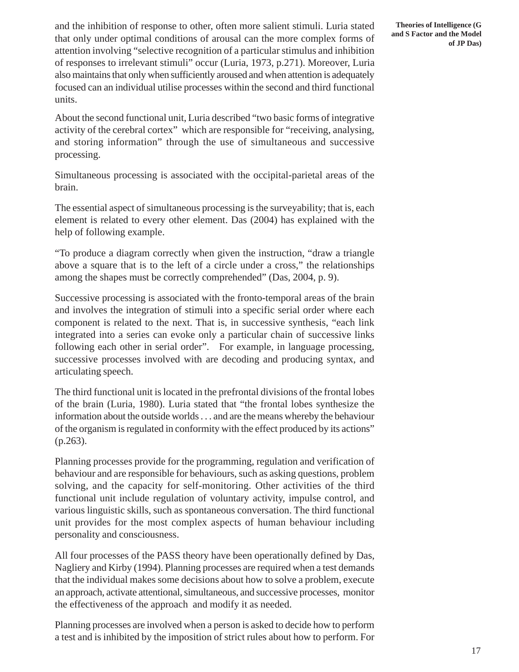and the inhibition of response to other, often more salient stimuli. Luria stated that only under optimal conditions of arousal can the more complex forms of attention involving "selective recognition of a particular stimulus and inhibition of responses to irrelevant stimuli" occur (Luria, 1973, p.271). Moreover, Luria also maintains that only when sufficiently aroused and when attention is adequately focused can an individual utilise processes within the second and third functional units.

About the second functional unit, Luria described "two basic forms of integrative activity of the cerebral cortex" which are responsible for "receiving, analysing, and storing information" through the use of simultaneous and successive processing.

Simultaneous processing is associated with the occipital-parietal areas of the brain.

The essential aspect of simultaneous processing is the surveyability; that is, each element is related to every other element. Das (2004) has explained with the help of following example.

"To produce a diagram correctly when given the instruction, "draw a triangle above a square that is to the left of a circle under a cross," the relationships among the shapes must be correctly comprehended" (Das, 2004, p. 9).

Successive processing is associated with the fronto-temporal areas of the brain and involves the integration of stimuli into a specific serial order where each component is related to the next. That is, in successive synthesis, "each link integrated into a series can evoke only a particular chain of successive links following each other in serial order". For example, in language processing, successive processes involved with are decoding and producing syntax, and articulating speech.

The third functional unit is located in the prefrontal divisions of the frontal lobes of the brain (Luria, 1980). Luria stated that "the frontal lobes synthesize the information about the outside worlds . . . and are the means whereby the behaviour of the organism is regulated in conformity with the effect produced by its actions" (p.263).

Planning processes provide for the programming, regulation and verification of behaviour and are responsible for behaviours, such as asking questions, problem solving, and the capacity for self-monitoring. Other activities of the third functional unit include regulation of voluntary activity, impulse control, and various linguistic skills, such as spontaneous conversation. The third functional unit provides for the most complex aspects of human behaviour including personality and consciousness.

All four processes of the PASS theory have been operationally defined by Das, Nagliery and Kirby (1994). Planning processes are required when a test demands that the individual makes some decisions about how to solve a problem, execute an approach, activate attentional, simultaneous, and successive processes, monitor the effectiveness of the approach and modify it as needed.

Planning processes are involved when a person is asked to decide how to perform a test and is inhibited by the imposition of strict rules about how to perform. For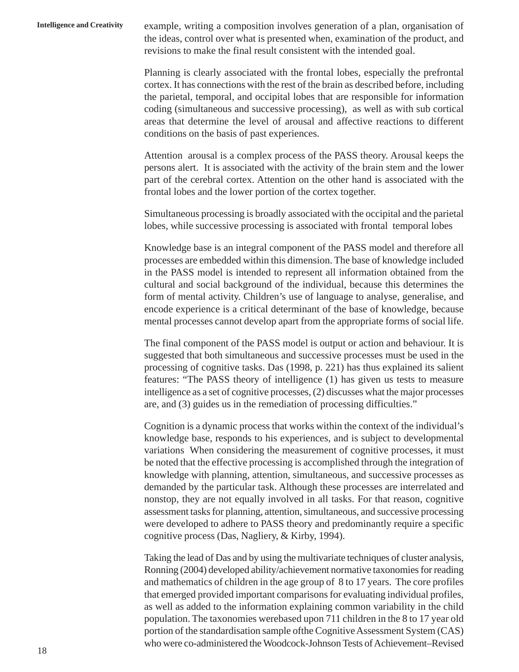**Intelligence and Creativity** example, writing a composition involves generation of a plan, organisation of the ideas, control over what is presented when, examination of the product, and revisions to make the final result consistent with the intended goal.

> Planning is clearly associated with the frontal lobes, especially the prefrontal cortex. It has connections with the rest of the brain as described before, including the parietal, temporal, and occipital lobes that are responsible for information coding (simultaneous and successive processing), as well as with sub cortical areas that determine the level of arousal and affective reactions to different conditions on the basis of past experiences.

> Attention arousal is a complex process of the PASS theory. Arousal keeps the persons alert. It is associated with the activity of the brain stem and the lower part of the cerebral cortex. Attention on the other hand is associated with the frontal lobes and the lower portion of the cortex together.

> Simultaneous processing is broadly associated with the occipital and the parietal lobes, while successive processing is associated with frontal temporal lobes

> Knowledge base is an integral component of the PASS model and therefore all processes are embedded within this dimension. The base of knowledge included in the PASS model is intended to represent all information obtained from the cultural and social background of the individual, because this determines the form of mental activity. Children's use of language to analyse, generalise, and encode experience is a critical determinant of the base of knowledge, because mental processes cannot develop apart from the appropriate forms of social life.

> The final component of the PASS model is output or action and behaviour. It is suggested that both simultaneous and successive processes must be used in the processing of cognitive tasks. Das (1998, p. 221) has thus explained its salient features: "The PASS theory of intelligence (1) has given us tests to measure intelligence as a set of cognitive processes, (2) discusses what the major processes are, and (3) guides us in the remediation of processing difficulties."

> Cognition is a dynamic process that works within the context of the individual's knowledge base, responds to his experiences, and is subject to developmental variations When considering the measurement of cognitive processes, it must be noted that the effective processing is accomplished through the integration of knowledge with planning, attention, simultaneous, and successive processes as demanded by the particular task. Although these processes are interrelated and nonstop, they are not equally involved in all tasks. For that reason, cognitive assessment tasks for planning, attention, simultaneous, and successive processing were developed to adhere to PASS theory and predominantly require a specific cognitive process (Das, Nagliery, & Kirby, 1994).

> Taking the lead of Das and by using the multivariate techniques of cluster analysis, Ronning (2004) developed ability/achievement normative taxonomies for reading and mathematics of children in the age group of 8 to 17 years. The core profiles that emerged provided important comparisons for evaluating individual profiles, as well as added to the information explaining common variability in the child population. The taxonomies werebased upon 711 children in the 8 to 17 year old portion of the standardisation sample ofthe Cognitive Assessment System (CAS) who were co-administered the Woodcock-Johnson Tests of Achievement–Revised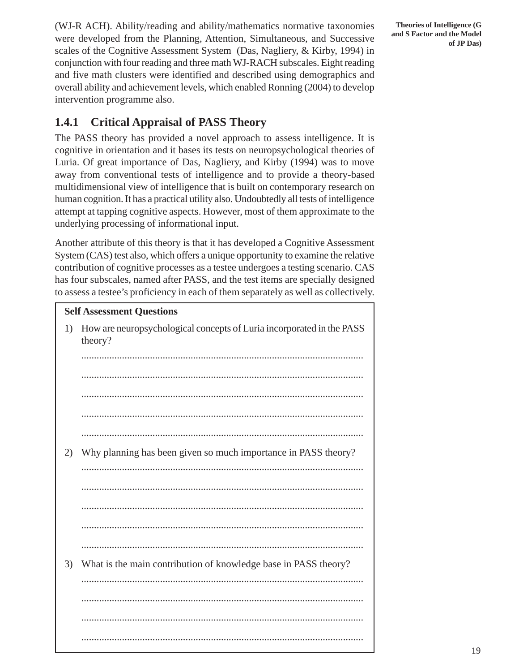(WJ-R ACH). Ability/reading and ability/mathematics normative taxonomies were developed from the Planning, Attention, Simultaneous, and Successive scales of the Cognitive Assessment System (Das, Nagliery, & Kirby, 1994) in conjunction with four reading and three math WJ-RACH subscales. Eight reading and five math clusters were identified and described using demographics and overall ability and achievement levels, which enabled Ronning (2004) to develop intervention programme also.

#### **1.4.1 Critical Appraisal of PASS Theory**

The PASS theory has provided a novel approach to assess intelligence. It is cognitive in orientation and it bases its tests on neuropsychological theories of Luria. Of great importance of Das, Nagliery, and Kirby (1994) was to move away from conventional tests of intelligence and to provide a theory-based multidimensional view of intelligence that is built on contemporary research on human cognition. It has a practical utility also. Undoubtedly all tests of intelligence attempt at tapping cognitive aspects. However, most of them approximate to the underlying processing of informational input.

Another attribute of this theory is that it has developed a Cognitive Assessment System (CAS) test also, which offers a unique opportunity to examine the relative contribution of cognitive processes as a testee undergoes a testing scenario. CAS has four subscales, named after PASS, and the test items are specially designed to assess a testee's proficiency in each of them separately as well as collectively.

# **Self Assessment Questions** 1) How are neuropsychological concepts of Luria incorporated in the PASS theory? ............................................................................................................... ............................................................................................................... ............................................................................................................... ............................................................................................................... ............................................................................................................... 2) Why planning has been given so much importance in PASS theory? ............................................................................................................... ............................................................................................................... ............................................................................................................... ............................................................................................................... ............................................................................................................... 3) What is the main contribution of knowledge base in PASS theory? ............................................................................................................... ............................................................................................................... ............................................................................................................... ...............................................................................................................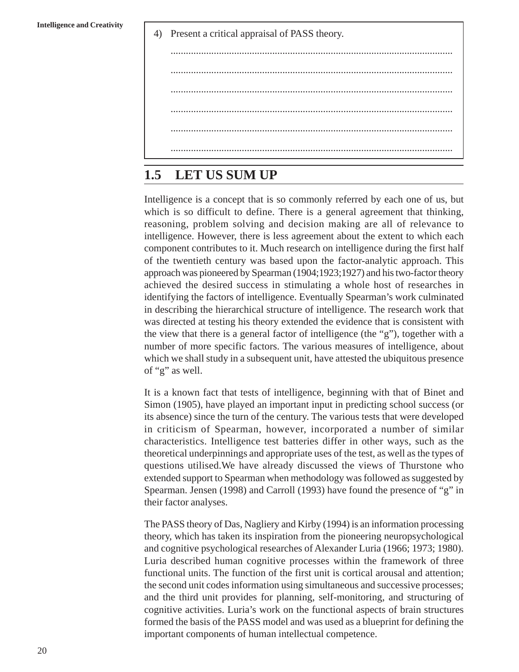4) Present a critical appraisal of PASS theory.

## **1.5 LET US SUM UP**

Intelligence is a concept that is so commonly referred by each one of us, but which is so difficult to define. There is a general agreement that thinking, reasoning, problem solving and decision making are all of relevance to intelligence. However, there is less agreement about the extent to which each component contributes to it. Much research on intelligence during the first half of the twentieth century was based upon the factor-analytic approach. This approach was pioneered by Spearman (1904;1923;1927) and his two-factor theory achieved the desired success in stimulating a whole host of researches in identifying the factors of intelligence. Eventually Spearman's work culminated in describing the hierarchical structure of intelligence. The research work that was directed at testing his theory extended the evidence that is consistent with the view that there is a general factor of intelligence (the "g"), together with a number of more specific factors. The various measures of intelligence, about which we shall study in a subsequent unit, have attested the ubiquitous presence of "g" as well.

It is a known fact that tests of intelligence, beginning with that of Binet and Simon (1905), have played an important input in predicting school success (or its absence) since the turn of the century. The various tests that were developed in criticism of Spearman, however, incorporated a number of similar characteristics. Intelligence test batteries differ in other ways, such as the theoretical underpinnings and appropriate uses of the test, as well as the types of questions utilised.We have already discussed the views of Thurstone who extended support to Spearman when methodology was followed as suggested by Spearman. Jensen (1998) and Carroll (1993) have found the presence of "g" in their factor analyses.

The PASS theory of Das, Nagliery and Kirby (1994) is an information processing theory, which has taken its inspiration from the pioneering neuropsychological and cognitive psychological researches of Alexander Luria (1966; 1973; 1980). Luria described human cognitive processes within the framework of three functional units. The function of the first unit is cortical arousal and attention; the second unit codes information using simultaneous and successive processes; and the third unit provides for planning, self-monitoring, and structuring of cognitive activities. Luria's work on the functional aspects of brain structures formed the basis of the PASS model and was used as a blueprint for defining the important components of human intellectual competence.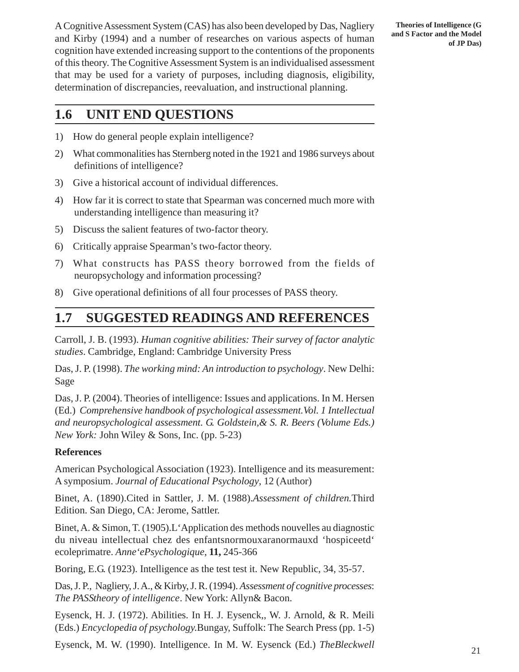A Cognitive Assessment System (CAS) has also been developed by Das, Nagliery and Kirby (1994) and a number of researches on various aspects of human cognition have extended increasing support to the contentions of the proponents of this theory. The Cognitive Assessment System is an individualised assessment that may be used for a variety of purposes, including diagnosis, eligibility, determination of discrepancies, reevaluation, and instructional planning.

## **1.6 UNIT END QUESTIONS**

- 1) How do general people explain intelligence?
- 2) What commonalities has Sternberg noted in the 1921 and 1986 surveys about definitions of intelligence?
- 3) Give a historical account of individual differences.
- 4) How far it is correct to state that Spearman was concerned much more with understanding intelligence than measuring it?
- 5) Discuss the salient features of two-factor theory.
- 6) Critically appraise Spearman's two-factor theory.
- 7) What constructs has PASS theory borrowed from the fields of neuropsychology and information processing?
- 8) Give operational definitions of all four processes of PASS theory.

# **1.7 SUGGESTED READINGS AND REFERENCES**

Carroll, J. B. (1993). *Human cognitive abilities: Their survey of factor analytic studies*. Cambridge, England: Cambridge University Press

Das, J. P. (1998). *The working mind: An introduction to psychology*. New Delhi: Sage

Das, J. P. (2004). Theories of intelligence: Issues and applications. In M. Hersen (Ed.) *Comprehensive handbook of psychological assessment.Vol. 1 Intellectual and neuropsychological assessment. G. Goldstein,& S. R. Beers (Volume Eds.) New York:* John Wiley & Sons, Inc. (pp. 5-23)

#### **References**

American Psychological Association (1923). Intelligence and its measurement: A symposium. *Journal of Educational Psychology*, 12 (Author)

Binet, A. (1890).Cited in Sattler, J. M. (1988).*Assessment of children.*Third Edition. San Diego, CA: Jerome, Sattler.

Binet, A. & Simon, T. (1905).L'Application des methods nouvelles au diagnostic du niveau intellectual chez des enfantsnormouxaranormauxd 'hospiceetd' ecoleprimatre. *Anne'ePsychologique*, **11,** 245-366

Boring, E.G. (1923). Intelligence as the test test it. New Republic, 34, 35-57.

Das, J. P., Nagliery, J. A., & Kirby, J. R. (1994). *Assessment of cognitive processes*: *The PASStheory of intelligence*. New York: Allyn& Bacon.

Eysenck, H. J. (1972). Abilities. In H. J. Eysenck,, W. J. Arnold, & R. Meili (Eds.) *Encyclopedia of psychology.*Bungay, Suffolk: The Search Press (pp. 1-5)

Eysenck, M. W. (1990). Intelligence. In M. W. Eysenck (Ed.) *TheBleckwell*